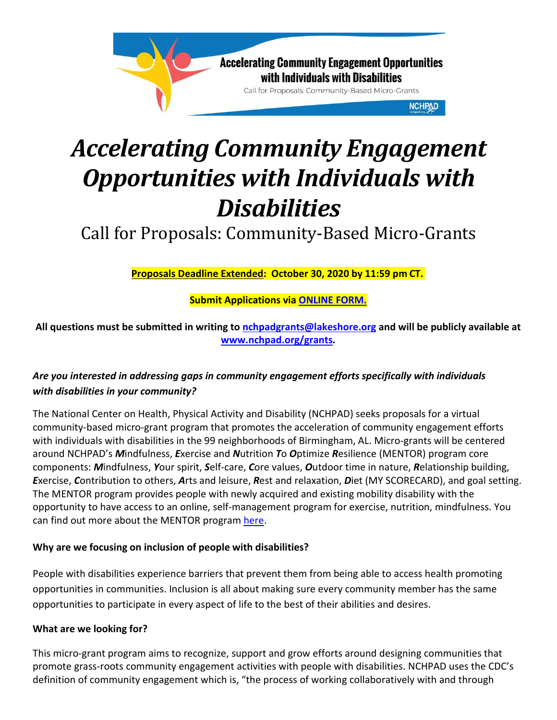

# *Accelerating Community Engagement Opportunities with Individuals with Disabilities*

Call for Proposals: Community-Based Micro-Grants

**Proposals Deadline Extended: October 30, 2020 by 11:59 pm CT.**

**Submit Applications via [ONLINE FORM.](https://forms.gle/bPGHCdvqTHf4QJwz8)**

**All questions must be submitted in writing to [nchpadgrants@lakeshore.org](mailto:nchpadgrants@lakeshore.org) and will be publicly available at [www.nchpad.org/grants.](http://www.nchpad.org/grants)**

# *Are you interested in addressing gaps in community engagement efforts specifically with individuals with disabilities in your community?*

The National Center on Health, Physical Activity and Disability (NCHPAD) seeks proposals for a virtual community-based micro-grant program that promotes the acceleration of community engagement efforts with individuals with disabilities in the 99 neighborhoods of Birmingham, AL. Micro-grants will be centered around NCHPAD's *M*indfulness, *E*xercise and *N*utrition *T*o *O*ptimize *R*esilience (MENTOR) program core components: *M*indfulness, *Y*our spirit, *S*elf-care, *C*ore values, *O*utdoor time in nature, *R*elationship building, *E*xercise, *C*ontribution to others, *A*rts and leisure, *R*est and relaxation, *D*iet (MY SCORECARD), and goal setting. The MENTOR program provides people with newly acquired and existing mobility disability with the opportunity to have access to an online, self-management program for exercise, nutrition, mindfulness. You can find out more about the MENTOR progra[m here.](http://www.mentor.nchpad.org/)

# **Why are we focusing on inclusion of people with disabilities?**

People with disabilities experience barriers that prevent them from being able to access health promoting opportunities in communities. Inclusion is all about making sure every community member has the same opportunities to participate in every aspect of life to the best of their abilities and desires.

# **What are we looking for?**

This micro-grant program aims to recognize, support and grow efforts around designing communities that promote grass-roots community engagement activities with people with disabilities. NCHPAD uses the CDC's definition of community engagement which is, "the process of working collaboratively with and through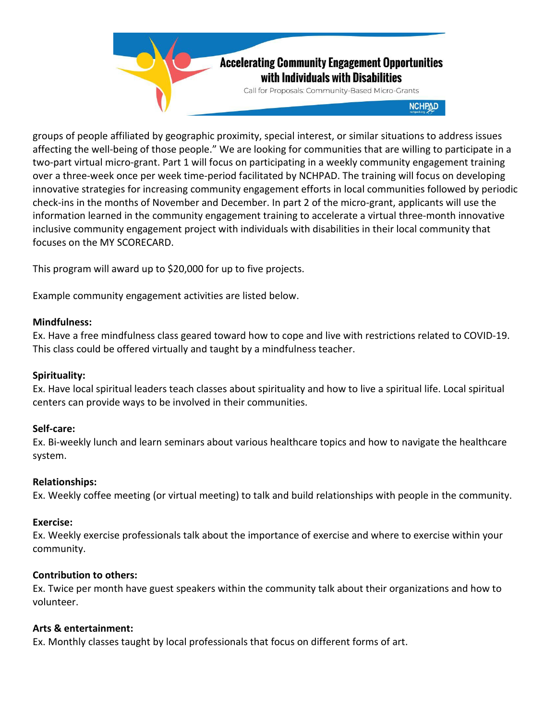

groups of people affiliated by geographic proximity, special interest, or similar situations to address issues affecting the well-being of those people." We are looking for communities that are willing to participate in a two-part virtual micro-grant. Part 1 will focus on participating in a weekly community engagement training over a three-week once per week time-period facilitated by NCHPAD. The training will focus on developing innovative strategies for increasing community engagement efforts in local communities followed by periodic check-ins in the months of November and December. In part 2 of the micro-grant, applicants will use the information learned in the community engagement training to accelerate a virtual three-month innovative inclusive community engagement project with individuals with disabilities in their local community that focuses on the MY SCORECARD.

This program will award up to \$20,000 for up to five projects.

Example community engagement activities are listed below.

#### **Mindfulness:**

Ex. Have a free mindfulness class geared toward how to cope and live with restrictions related to COVID-19. This class could be offered virtually and taught by a mindfulness teacher.

## **Spirituality:**

Ex. Have local spiritual leaders teach classes about spirituality and how to live a spiritual life. Local spiritual centers can provide ways to be involved in their communities.

#### **Self-care:**

Ex. Bi-weekly lunch and learn seminars about various healthcare topics and how to navigate the healthcare system.

#### **Relationships:**

Ex. Weekly coffee meeting (or virtual meeting) to talk and build relationships with people in the community.

#### **Exercise:**

Ex. Weekly exercise professionals talk about the importance of exercise and where to exercise within your community.

#### **Contribution to others:**

Ex. Twice per month have guest speakers within the community talk about their organizations and how to volunteer.

#### **Arts & entertainment:**

Ex. Monthly classes taught by local professionals that focus on different forms of art.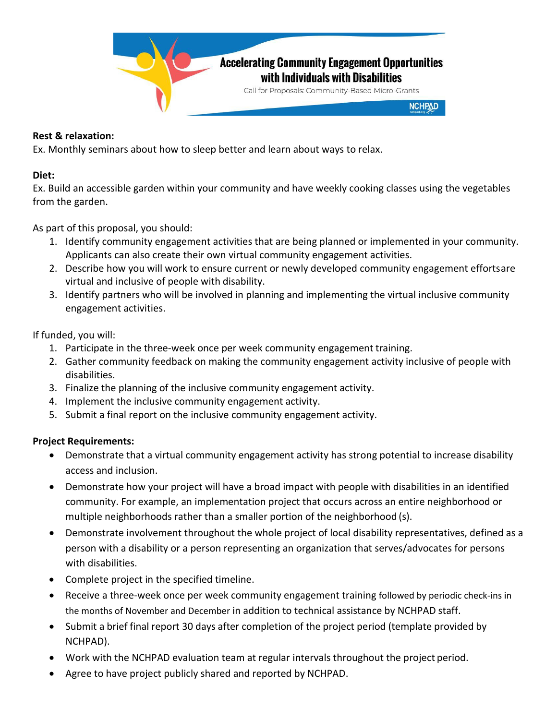

## **Rest & relaxation:**

Ex. Monthly seminars about how to sleep better and learn about ways to relax.

## **Diet:**

Ex. Build an accessible garden within your community and have weekly cooking classes using the vegetables from the garden.

As part of this proposal, you should:

- 1. Identify community engagement activities that are being planned or implemented in your community. Applicants can also create their own virtual community engagement activities.
- 2. Describe how you will work to ensure current or newly developed community engagement effortsare virtual and inclusive of people with disability.
- 3. Identify partners who will be involved in planning and implementing the virtual inclusive community engagement activities.

# If funded, you will:

- 1. Participate in the three-week once per week community engagement training.
- 2. Gather community feedback on making the community engagement activity inclusive of people with disabilities.
- 3. Finalize the planning of the inclusive community engagement activity.
- 4. Implement the inclusive community engagement activity.
- 5. Submit a final report on the inclusive community engagement activity.

# **Project Requirements:**

- Demonstrate that a virtual community engagement activity has strong potential to increase disability access and inclusion.
- Demonstrate how your project will have a broad impact with people with disabilities in an identified community. For example, an implementation project that occurs across an entire neighborhood or multiple neighborhoods rather than a smaller portion of the neighborhood (s).
- Demonstrate involvement throughout the whole project of local disability representatives, defined as a person with a disability or a person representing an organization that serves/advocates for persons with disabilities.
- Complete project in the specified timeline.
- Receive a three-week once per week community engagement training followed by periodic check-ins in the months of November and December in addition to technical assistance by NCHPAD staff.
- Submit a brief final report 30 days after completion of the project period (template provided by NCHPAD).
- Work with the NCHPAD evaluation team at regular intervals throughout the project period.
- Agree to have project publicly shared and reported by NCHPAD.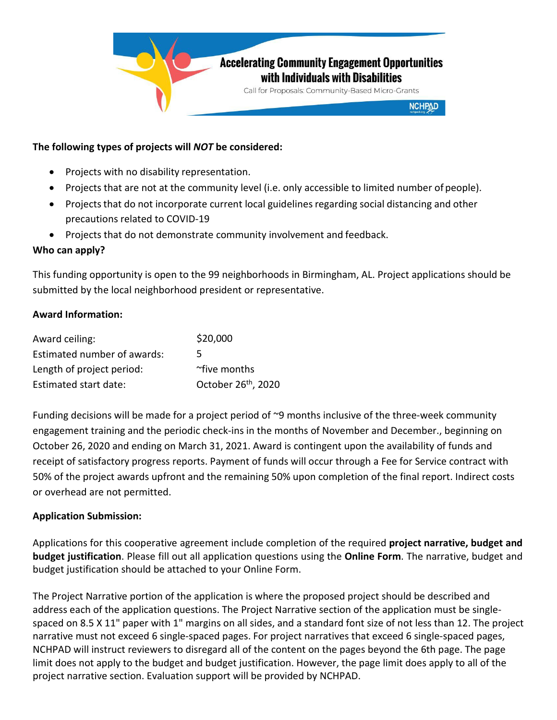

# **The following types of projects will** *NOT* **be considered:**

- Projects with no disability representation.
- Projects that are not at the community level (i.e. only accessible to limited number of people).
- Projects that do not incorporate current local guidelines regarding social distancing and other precautions related to COVID-19
- Projects that do not demonstrate community involvement and feedback.

# **Who can apply?**

This funding opportunity is open to the 99 neighborhoods in Birmingham, AL. Project applications should be submitted by the local neighborhood president or representative.

# **Award Information:**

| Award ceiling:              | \$20,000                        |
|-----------------------------|---------------------------------|
| Estimated number of awards: | 5                               |
| Length of project period:   | ~five months                    |
| Estimated start date:       | October 26 <sup>th</sup> , 2020 |

Funding decisions will be made for a project period of ~9 months inclusive of the three-week community engagement training and the periodic check-ins in the months of November and December., beginning on October 26, 2020 and ending on March 31, 2021. Award is contingent upon the availability of funds and receipt of satisfactory progress reports. Payment of funds will occur through a Fee for Service contract with 50% of the project awards upfront and the remaining 50% upon completion of the final report. Indirect costs or overhead are not permitted.

## **Application Submission:**

Applications for this cooperative agreement include completion of the required **project narrative, budget and budget justification**. Please fill out all application questions using the **Online Form**. The narrative, budget and budget justification should be attached to your Online Form.

The Project Narrative portion of the application is where the proposed project should be described and address each of the application questions. The Project Narrative section of the application must be singlespaced on 8.5 X 11" paper with 1" margins on all sides, and a standard font size of not less than 12. The project narrative must not exceed 6 single-spaced pages. For project narratives that exceed 6 single-spaced pages, NCHPAD will instruct reviewers to disregard all of the content on the pages beyond the 6th page. The page limit does not apply to the budget and budget justification. However, the page limit does apply to all of the project narrative section. Evaluation support will be provided by NCHPAD.